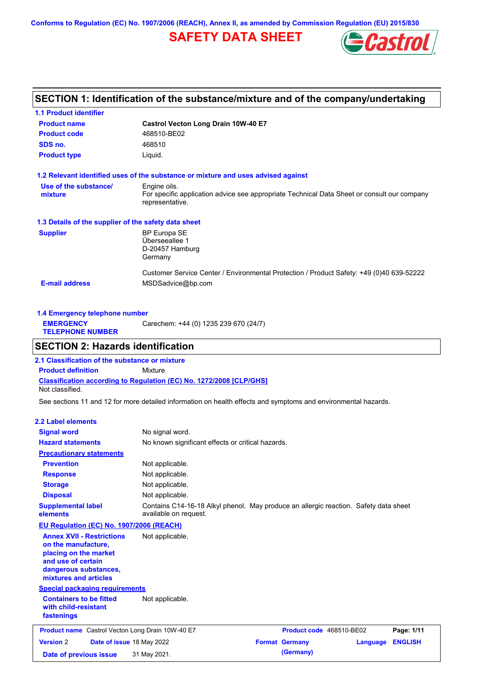**Conforms to Regulation (EC) No. 1907/2006 (REACH), Annex II, as amended by Commission Regulation (EU) 2015/830**

# **SAFETY DATA SHEET**



# **SECTION 1: Identification of the substance/mixture and of the company/undertaking**

| <b>1.1 Product identifier</b>                        |                                                                                                                |
|------------------------------------------------------|----------------------------------------------------------------------------------------------------------------|
| <b>Product name</b>                                  | Castrol Vecton Long Drain 10W-40 E7                                                                            |
| <b>Product code</b>                                  | 468510-BE02                                                                                                    |
| SDS no.                                              | 468510                                                                                                         |
| <b>Product type</b>                                  | Liquid.                                                                                                        |
|                                                      | 1.2 Relevant identified uses of the substance or mixture and uses advised against                              |
| Use of the substance/                                | Engine oils.                                                                                                   |
| mixture                                              | For specific application advice see appropriate Technical Data Sheet or consult our company<br>representative. |
| 1.3 Details of the supplier of the safety data sheet |                                                                                                                |
| <b>Supplier</b>                                      | <b>BP Europa SE</b>                                                                                            |
|                                                      | Überseeallee 1                                                                                                 |
|                                                      | D-20457 Hamburg<br>Germany                                                                                     |
|                                                      | Customer Service Center / Environmental Protection / Product Safety: +49 (0)40 639-52222                       |
| <b>E-mail address</b>                                | MSDSadvice@bp.com                                                                                              |

| 1.4 Emergency telephone number              |                                       |
|---------------------------------------------|---------------------------------------|
| <b>EMERGENCY</b><br><b>TELEPHONE NUMBER</b> | Carechem: +44 (0) 1235 239 670 (24/7) |
|                                             |                                       |

## **SECTION 2: Hazards identification**

**Classification according to Regulation (EC) No. 1272/2008 [CLP/GHS] 2.1 Classification of the substance or mixture Product definition** Mixture Not classified.

See sections 11 and 12 for more detailed information on health effects and symptoms and environmental hazards.

#### **2.2 Label elements**

| <b>Signal word</b><br><b>Hazard statements</b>                                                                                                           | No signal word.<br>No known significant effects or critical hazards.                                          |                          |          |                |
|----------------------------------------------------------------------------------------------------------------------------------------------------------|---------------------------------------------------------------------------------------------------------------|--------------------------|----------|----------------|
| <b>Precautionary statements</b>                                                                                                                          |                                                                                                               |                          |          |                |
| <b>Prevention</b>                                                                                                                                        | Not applicable.                                                                                               |                          |          |                |
| <b>Response</b>                                                                                                                                          | Not applicable.                                                                                               |                          |          |                |
| <b>Storage</b>                                                                                                                                           | Not applicable.                                                                                               |                          |          |                |
| <b>Disposal</b>                                                                                                                                          | Not applicable.                                                                                               |                          |          |                |
| <b>Supplemental label</b><br>elements                                                                                                                    | Contains C14-16-18 Alkyl phenol. May produce an allergic reaction. Safety data sheet<br>available on request. |                          |          |                |
| EU Regulation (EC) No. 1907/2006 (REACH)                                                                                                                 |                                                                                                               |                          |          |                |
| <b>Annex XVII - Restrictions</b><br>on the manufacture,<br>placing on the market<br>and use of certain<br>dangerous substances,<br>mixtures and articles | Not applicable.                                                                                               |                          |          |                |
| <b>Special packaging requirements</b>                                                                                                                    |                                                                                                               |                          |          |                |
| <b>Containers to be fitted</b><br>with child-resistant<br>fastenings                                                                                     | Not applicable.                                                                                               |                          |          |                |
| <b>Product name</b> Castrol Vecton Long Drain 10W-40 E7                                                                                                  |                                                                                                               | Product code 468510-BE02 |          | Page: 1/11     |
| <b>Version 2</b><br>Date of issue 18 May 2022                                                                                                            |                                                                                                               | <b>Format Germany</b>    | Language | <b>ENGLISH</b> |
| Date of previous issue                                                                                                                                   | 31 May 2021.                                                                                                  | (Germany)                |          |                |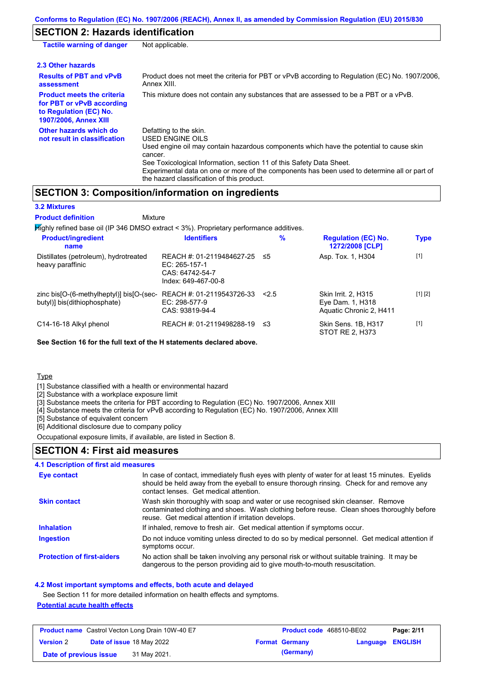### **SECTION 2: Hazards identification**

| <b>Tactile warning of danger</b>                                                                                         | Not applicable.                                                                                                                                                                                                                                                                                                                                                        |
|--------------------------------------------------------------------------------------------------------------------------|------------------------------------------------------------------------------------------------------------------------------------------------------------------------------------------------------------------------------------------------------------------------------------------------------------------------------------------------------------------------|
| 2.3 Other hazards                                                                                                        |                                                                                                                                                                                                                                                                                                                                                                        |
| <b>Results of PBT and vPvB</b><br>assessment                                                                             | Product does not meet the criteria for PBT or vPvB according to Regulation (EC) No. 1907/2006,<br>Annex XIII.                                                                                                                                                                                                                                                          |
| <b>Product meets the criteria</b><br>for PBT or vPvB according<br>to Regulation (EC) No.<br><b>1907/2006, Annex XIII</b> | This mixture does not contain any substances that are assessed to be a PBT or a vPvB.                                                                                                                                                                                                                                                                                  |
| Other hazards which do<br>not result in classification                                                                   | Defatting to the skin.<br>USED ENGINE OILS<br>Used engine oil may contain hazardous components which have the potential to cause skin<br>cancer.<br>See Toxicological Information, section 11 of this Safety Data Sheet.<br>Experimental data on one or more of the components has been used to determine all or part of<br>the hazard classification of this product. |

# **SECTION 3: Composition/information on ingredients**

| <b>3.2 Mixtures</b>                                                                       |                                                                                      |      |                                                                    |             |
|-------------------------------------------------------------------------------------------|--------------------------------------------------------------------------------------|------|--------------------------------------------------------------------|-------------|
| <b>Product definition</b><br>Mixture                                                      |                                                                                      |      |                                                                    |             |
| $H$ ighly refined base oil (IP 346 DMSO extract < 3%). Proprietary performance additives. |                                                                                      |      |                                                                    |             |
| <b>Product/ingredient</b><br>name                                                         | <b>Identifiers</b>                                                                   | $\%$ | <b>Regulation (EC) No.</b><br>1272/2008 [CLP]                      | <b>Type</b> |
| Distillates (petroleum), hydrotreated<br>heavy paraffinic                                 | REACH #: 01-2119484627-25<br>EC: 265-157-1<br>CAS: 64742-54-7<br>Index: 649-467-00-8 | ≤5   | Asp. Tox. 1, H304                                                  | $[1]$       |
| zinc bis[O-(6-methylheptyl)] bis[O-(sec-<br>butyl)] bis(dithiophosphate)                  | REACH #: 01-2119543726-33<br>$EC: 298-577-9$<br>CAS: 93819-94-4                      | 2.5  | Skin Irrit. 2, H315<br>Eye Dam. 1, H318<br>Aquatic Chronic 2. H411 | [1] [2]     |
| C14-16-18 Alkyl phenol                                                                    | REACH #: 01-2119498288-19                                                            | ≤3   | Skin Sens. 1B, H317<br>STOT RE 2. H373                             | $[1]$       |

**See Section 16 for the full text of the H statements declared above.**

**Type** 

[1] Substance classified with a health or environmental hazard

[2] Substance with a workplace exposure limit

[3] Substance meets the criteria for PBT according to Regulation (EC) No. 1907/2006, Annex XIII

[4] Substance meets the criteria for vPvB according to Regulation (EC) No. 1907/2006, Annex XIII

[5] Substance of equivalent concern

[6] Additional disclosure due to company policy

Occupational exposure limits, if available, are listed in Section 8.

# **SECTION 4: First aid measures**

#### Do not induce vomiting unless directed to do so by medical personnel. Get medical attention if symptoms occur. In case of contact, immediately flush eyes with plenty of water for at least 15 minutes. Eyelids should be held away from the eyeball to ensure thorough rinsing. Check for and remove any contact lenses. Get medical attention. **4.1 Description of first aid measures** If inhaled, remove to fresh air. Get medical attention if symptoms occur. **Ingestion Inhalation Eye contact Protection of first-aiders** No action shall be taken involving any personal risk or without suitable training. It may be dangerous to the person providing aid to give mouth-to-mouth resuscitation. **Skin contact** Wash skin thoroughly with soap and water or use recognised skin cleanser. Remove contaminated clothing and shoes. Wash clothing before reuse. Clean shoes thoroughly before reuse. Get medical attention if irritation develops.

#### **4.2 Most important symptoms and effects, both acute and delayed**

See Section 11 for more detailed information on health effects and symptoms. **Potential acute health effects**

|                        | <b>Product name</b> Castrol Vecton Long Drain 10W-40 E7 | Product code 468510-BE02 |                         | Page: 2/11 |
|------------------------|---------------------------------------------------------|--------------------------|-------------------------|------------|
| <b>Version 2</b>       | <b>Date of issue 18 May 2022</b>                        | <b>Format Germany</b>    | <b>Language ENGLISH</b> |            |
| Date of previous issue | 31 May 2021.                                            | (Germany)                |                         |            |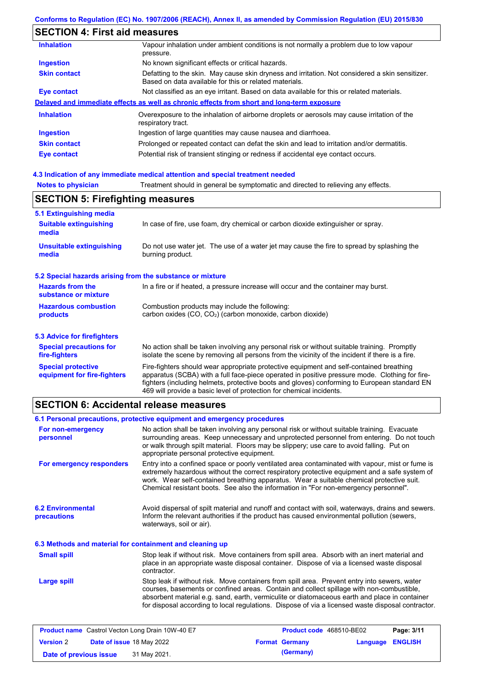# **SECTION 4: First aid measures**

| <b>Inhalation</b>   | Vapour inhalation under ambient conditions is not normally a problem due to low vapour<br>pressure.                                                       |
|---------------------|-----------------------------------------------------------------------------------------------------------------------------------------------------------|
| <b>Ingestion</b>    | No known significant effects or critical hazards.                                                                                                         |
| <b>Skin contact</b> | Defatting to the skin. May cause skin dryness and irritation. Not considered a skin sensitizer.<br>Based on data available for this or related materials. |
| Eye contact         | Not classified as an eye irritant. Based on data available for this or related materials.                                                                 |
|                     | Delayed and immediate effects as well as chronic effects from short and long-term exposure                                                                |
| <b>Inhalation</b>   | Overexposure to the inhalation of airborne droplets or aerosols may cause irritation of the<br>respiratory tract.                                         |
| <b>Ingestion</b>    | Ingestion of large quantities may cause nausea and diarrhoea.                                                                                             |
| <b>Skin contact</b> | Prolonged or repeated contact can defat the skin and lead to irritation and/or dermatitis.                                                                |
| Eye contact         | Potential risk of transient stinging or redness if accidental eye contact occurs.                                                                         |
|                     |                                                                                                                                                           |

### **4.3 Indication of any immediate medical attention and special treatment needed**

| <b>Notes to physician</b>                                         | Treatment should in general be symptomatic and directed to relieving any effects.                                                                                                                                                                                                                                                                                 |  |  |  |  |
|-------------------------------------------------------------------|-------------------------------------------------------------------------------------------------------------------------------------------------------------------------------------------------------------------------------------------------------------------------------------------------------------------------------------------------------------------|--|--|--|--|
|                                                                   | <b>SECTION 5: Firefighting measures</b>                                                                                                                                                                                                                                                                                                                           |  |  |  |  |
| 5.1 Extinguishing media<br><b>Suitable extinguishing</b><br>media | In case of fire, use foam, dry chemical or carbon dioxide extinguisher or spray.                                                                                                                                                                                                                                                                                  |  |  |  |  |
| <b>Unsuitable extinguishing</b><br>media                          | Do not use water jet. The use of a water jet may cause the fire to spread by splashing the<br>burning product.                                                                                                                                                                                                                                                    |  |  |  |  |
| 5.2 Special hazards arising from the substance or mixture         |                                                                                                                                                                                                                                                                                                                                                                   |  |  |  |  |
| <b>Hazards from the</b><br>substance or mixture                   | In a fire or if heated, a pressure increase will occur and the container may burst.                                                                                                                                                                                                                                                                               |  |  |  |  |
| <b>Hazardous combustion</b><br>products                           | Combustion products may include the following:<br>carbon oxides (CO, CO <sub>2</sub> ) (carbon monoxide, carbon dioxide)                                                                                                                                                                                                                                          |  |  |  |  |
| 5.3 Advice for firefighters                                       |                                                                                                                                                                                                                                                                                                                                                                   |  |  |  |  |
| <b>Special precautions for</b><br>fire-fighters                   | No action shall be taken involving any personal risk or without suitable training. Promptly<br>isolate the scene by removing all persons from the vicinity of the incident if there is a fire.                                                                                                                                                                    |  |  |  |  |
| <b>Special protective</b><br>equipment for fire-fighters          | Fire-fighters should wear appropriate protective equipment and self-contained breathing<br>apparatus (SCBA) with a full face-piece operated in positive pressure mode. Clothing for fire-<br>fighters (including helmets, protective boots and gloves) conforming to European standard EN<br>469 will provide a basic level of protection for chemical incidents. |  |  |  |  |

# **SECTION 6: Accidental release measures**

|                                                          | 6.1 Personal precautions, protective equipment and emergency procedures                                                                                                                                                                                                                                                                                                                        |  |  |
|----------------------------------------------------------|------------------------------------------------------------------------------------------------------------------------------------------------------------------------------------------------------------------------------------------------------------------------------------------------------------------------------------------------------------------------------------------------|--|--|
| For non-emergency<br>personnel                           | No action shall be taken involving any personal risk or without suitable training. Evacuate<br>surrounding areas. Keep unnecessary and unprotected personnel from entering. Do not touch<br>or walk through spilt material. Floors may be slippery; use care to avoid falling. Put on<br>appropriate personal protective equipment.                                                            |  |  |
| For emergency responders                                 | Entry into a confined space or poorly ventilated area contaminated with vapour, mist or fume is<br>extremely hazardous without the correct respiratory protective equipment and a safe system of<br>work. Wear self-contained breathing apparatus. Wear a suitable chemical protective suit.<br>Chemical resistant boots. See also the information in "For non-emergency personnel".           |  |  |
| <b>6.2 Environmental</b><br>precautions                  | Avoid dispersal of spilt material and runoff and contact with soil, waterways, drains and sewers.<br>Inform the relevant authorities if the product has caused environmental pollution (sewers,<br>waterways, soil or air).                                                                                                                                                                    |  |  |
| 6.3 Methods and material for containment and cleaning up |                                                                                                                                                                                                                                                                                                                                                                                                |  |  |
| <b>Small spill</b>                                       | Stop leak if without risk. Move containers from spill area. Absorb with an inert material and<br>place in an appropriate waste disposal container. Dispose of via a licensed waste disposal<br>contractor.                                                                                                                                                                                     |  |  |
| Large spill                                              | Stop leak if without risk. Move containers from spill area. Prevent entry into sewers, water<br>courses, basements or confined areas. Contain and collect spillage with non-combustible,<br>absorbent material e.g. sand, earth, vermiculite or diatomaceous earth and place in container<br>for disposal according to local regulations. Dispose of via a licensed waste disposal contractor. |  |  |

|                        | <b>Product name</b> Castrol Vecton Long Drain 10W-40 E7 | <b>Product code</b> 468510-BE02 |                  | Page: 3/11 |
|------------------------|---------------------------------------------------------|---------------------------------|------------------|------------|
| <b>Version 2</b>       | <b>Date of issue 18 May 2022</b>                        | <b>Format Germany</b>           | Language ENGLISH |            |
| Date of previous issue | 31 May 2021.                                            | (Germany)                       |                  |            |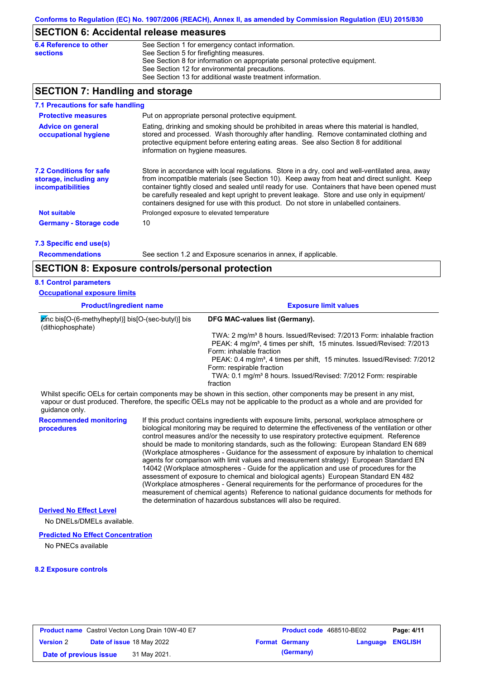### **SECTION 6: Accidental release measures**

| See Section 1 for emergency contact information.                            |
|-----------------------------------------------------------------------------|
| See Section 5 for firefighting measures.                                    |
| See Section 8 for information on appropriate personal protective equipment. |
| See Section 12 for environmental precautions.                               |
| See Section 13 for additional waste treatment information.                  |
|                                                                             |

# **SECTION 7: Handling and storage**

| 7.1 Precautions for safe handling                                                    |                                                                                                                                                                                                                                                                                                                                                                                                                                                                                          |
|--------------------------------------------------------------------------------------|------------------------------------------------------------------------------------------------------------------------------------------------------------------------------------------------------------------------------------------------------------------------------------------------------------------------------------------------------------------------------------------------------------------------------------------------------------------------------------------|
| <b>Protective measures</b>                                                           | Put on appropriate personal protective equipment.                                                                                                                                                                                                                                                                                                                                                                                                                                        |
| <b>Advice on general</b><br>occupational hygiene                                     | Eating, drinking and smoking should be prohibited in areas where this material is handled.<br>stored and processed. Wash thoroughly after handling. Remove contaminated clothing and<br>protective equipment before entering eating areas. See also Section 8 for additional<br>information on hygiene measures.                                                                                                                                                                         |
| <b>7.2 Conditions for safe</b><br>storage, including any<br><i>incompatibilities</i> | Store in accordance with local requlations. Store in a dry, cool and well-ventilated area, away<br>from incompatible materials (see Section 10). Keep away from heat and direct sunlight. Keep<br>container tightly closed and sealed until ready for use. Containers that have been opened must<br>be carefully resealed and kept upright to prevent leakage. Store and use only in equipment/<br>containers designed for use with this product. Do not store in unlabelled containers. |
| <b>Not suitable</b>                                                                  | Prolonged exposure to elevated temperature                                                                                                                                                                                                                                                                                                                                                                                                                                               |
| <b>Germany - Storage code</b>                                                        | 10                                                                                                                                                                                                                                                                                                                                                                                                                                                                                       |
| 7.3 Specific end use(s)                                                              |                                                                                                                                                                                                                                                                                                                                                                                                                                                                                          |

**Recommendations**

See section 1.2 and Exposure scenarios in annex, if applicable.

### **SECTION 8: Exposure controls/personal protection**

### **8.1 Control parameters**

**Occupational exposure limits**

| <b>Product/ingredient name</b>                                                           | <b>Exposure limit values</b>                                                                                                                                                                                                                         |  |  |  |
|------------------------------------------------------------------------------------------|------------------------------------------------------------------------------------------------------------------------------------------------------------------------------------------------------------------------------------------------------|--|--|--|
| $\overline{z}$ (nc bis [O-(6-methylheptyl)] bis [O-(sec-butyl)] bis<br>(dithiophosphate) | DFG MAC-values list (Germany).                                                                                                                                                                                                                       |  |  |  |
|                                                                                          | TWA: 2 mg/m <sup>3</sup> 8 hours. Issued/Revised: 7/2013 Form: inhalable fraction                                                                                                                                                                    |  |  |  |
|                                                                                          | PEAK: 4 mg/m <sup>3</sup> , 4 times per shift, 15 minutes. Issued/Revised: 7/2013                                                                                                                                                                    |  |  |  |
|                                                                                          | Form: inhalable fraction                                                                                                                                                                                                                             |  |  |  |
|                                                                                          | PEAK: 0.4 mg/m <sup>3</sup> , 4 times per shift, 15 minutes. Issued/Revised: 7/2012                                                                                                                                                                  |  |  |  |
|                                                                                          | Form: respirable fraction                                                                                                                                                                                                                            |  |  |  |
|                                                                                          | TWA: 0.1 mg/m <sup>3</sup> 8 hours. Issued/Revised: 7/2012 Form: respirable                                                                                                                                                                          |  |  |  |
|                                                                                          | fraction                                                                                                                                                                                                                                             |  |  |  |
|                                                                                          | Whilst specific OELs for certain components may be shown in this section, other components may be present in any mist,<br>vapour or dust produced. Therefore, the specific OELs may not be applicable to the product as a whole and are provided for |  |  |  |

vapour or dust produced. Therefore, the specific OELs may not be applicable to the product as a whole and are provided for guidance only.

**Recommended monitoring procedures** If this product contains ingredients with exposure limits, personal, workplace atmosphere or biological monitoring may be required to determine the effectiveness of the ventilation or other control measures and/or the necessity to use respiratory protective equipment. Reference should be made to monitoring standards, such as the following: European Standard EN 689 (Workplace atmospheres - Guidance for the assessment of exposure by inhalation to chemical agents for comparison with limit values and measurement strategy) European Standard EN 14042 (Workplace atmospheres - Guide for the application and use of procedures for the assessment of exposure to chemical and biological agents) European Standard EN 482 (Workplace atmospheres - General requirements for the performance of procedures for the measurement of chemical agents) Reference to national guidance documents for methods for the determination of hazardous substances will also be required.

### **Derived No Effect Level**

No DNELs/DMELs available.

#### **Predicted No Effect Concentration**

No PNECs available

### **8.2 Exposure controls**

|                        | <b>Product name</b> Castrol Vecton Long Drain 10W-40 E7 | <b>Product code</b> 468510-BE02 |                         | Page: 4/11 |
|------------------------|---------------------------------------------------------|---------------------------------|-------------------------|------------|
| <b>Version 2</b>       | <b>Date of issue 18 May 2022</b>                        | <b>Format Germany</b>           | <b>Language ENGLISH</b> |            |
| Date of previous issue | 31 May 2021.                                            | (Germany)                       |                         |            |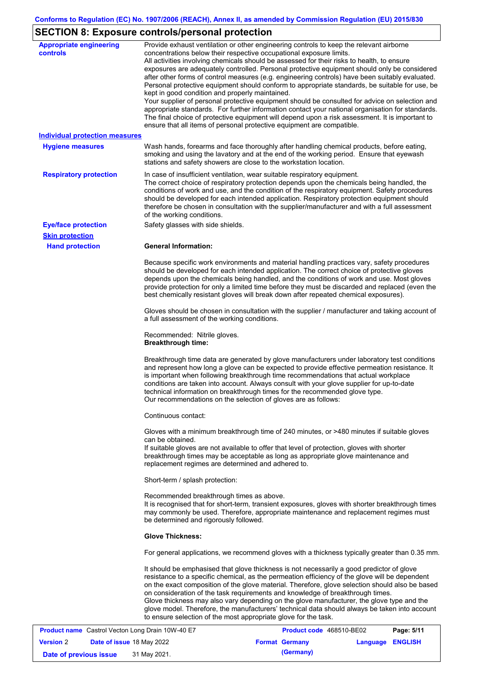# **SECTION 8: Exposure controls/personal protection**

| <b>Appropriate engineering</b><br>controls | Provide exhaust ventilation or other engineering controls to keep the relevant airborne<br>concentrations below their respective occupational exposure limits.<br>All activities involving chemicals should be assessed for their risks to health, to ensure<br>exposures are adequately controlled. Personal protective equipment should only be considered<br>after other forms of control measures (e.g. engineering controls) have been suitably evaluated.<br>Personal protective equipment should conform to appropriate standards, be suitable for use, be<br>kept in good condition and properly maintained.<br>Your supplier of personal protective equipment should be consulted for advice on selection and<br>appropriate standards. For further information contact your national organisation for standards.<br>The final choice of protective equipment will depend upon a risk assessment. It is important to<br>ensure that all items of personal protective equipment are compatible. |
|--------------------------------------------|---------------------------------------------------------------------------------------------------------------------------------------------------------------------------------------------------------------------------------------------------------------------------------------------------------------------------------------------------------------------------------------------------------------------------------------------------------------------------------------------------------------------------------------------------------------------------------------------------------------------------------------------------------------------------------------------------------------------------------------------------------------------------------------------------------------------------------------------------------------------------------------------------------------------------------------------------------------------------------------------------------|
| <b>Individual protection measures</b>      |                                                                                                                                                                                                                                                                                                                                                                                                                                                                                                                                                                                                                                                                                                                                                                                                                                                                                                                                                                                                         |
| <b>Hygiene measures</b>                    | Wash hands, forearms and face thoroughly after handling chemical products, before eating,<br>smoking and using the lavatory and at the end of the working period. Ensure that eyewash<br>stations and safety showers are close to the workstation location.                                                                                                                                                                                                                                                                                                                                                                                                                                                                                                                                                                                                                                                                                                                                             |
| <b>Respiratory protection</b>              | In case of insufficient ventilation, wear suitable respiratory equipment.<br>The correct choice of respiratory protection depends upon the chemicals being handled, the<br>conditions of work and use, and the condition of the respiratory equipment. Safety procedures<br>should be developed for each intended application. Respiratory protection equipment should<br>therefore be chosen in consultation with the supplier/manufacturer and with a full assessment<br>of the working conditions.                                                                                                                                                                                                                                                                                                                                                                                                                                                                                                   |
| <b>Eye/face protection</b>                 | Safety glasses with side shields.                                                                                                                                                                                                                                                                                                                                                                                                                                                                                                                                                                                                                                                                                                                                                                                                                                                                                                                                                                       |
| <b>Skin protection</b>                     |                                                                                                                                                                                                                                                                                                                                                                                                                                                                                                                                                                                                                                                                                                                                                                                                                                                                                                                                                                                                         |
| <b>Hand protection</b>                     | <b>General Information:</b>                                                                                                                                                                                                                                                                                                                                                                                                                                                                                                                                                                                                                                                                                                                                                                                                                                                                                                                                                                             |
|                                            | Because specific work environments and material handling practices vary, safety procedures<br>should be developed for each intended application. The correct choice of protective gloves<br>depends upon the chemicals being handled, and the conditions of work and use. Most gloves<br>provide protection for only a limited time before they must be discarded and replaced (even the<br>best chemically resistant gloves will break down after repeated chemical exposures).                                                                                                                                                                                                                                                                                                                                                                                                                                                                                                                        |
|                                            | Gloves should be chosen in consultation with the supplier / manufacturer and taking account of<br>a full assessment of the working conditions.                                                                                                                                                                                                                                                                                                                                                                                                                                                                                                                                                                                                                                                                                                                                                                                                                                                          |
|                                            | Recommended: Nitrile gloves.<br><b>Breakthrough time:</b>                                                                                                                                                                                                                                                                                                                                                                                                                                                                                                                                                                                                                                                                                                                                                                                                                                                                                                                                               |
|                                            | Breakthrough time data are generated by glove manufacturers under laboratory test conditions<br>and represent how long a glove can be expected to provide effective permeation resistance. It<br>is important when following breakthrough time recommendations that actual workplace<br>conditions are taken into account. Always consult with your glove supplier for up-to-date<br>technical information on breakthrough times for the recommended glove type.<br>Our recommendations on the selection of gloves are as follows:                                                                                                                                                                                                                                                                                                                                                                                                                                                                      |
|                                            | Continuous contact:                                                                                                                                                                                                                                                                                                                                                                                                                                                                                                                                                                                                                                                                                                                                                                                                                                                                                                                                                                                     |
|                                            | Gloves with a minimum breakthrough time of 240 minutes, or >480 minutes if suitable gloves<br>can be obtained.<br>If suitable gloves are not available to offer that level of protection, gloves with shorter<br>breakthrough times may be acceptable as long as appropriate glove maintenance and<br>replacement regimes are determined and adhered to.                                                                                                                                                                                                                                                                                                                                                                                                                                                                                                                                                                                                                                                |
|                                            | Short-term / splash protection:                                                                                                                                                                                                                                                                                                                                                                                                                                                                                                                                                                                                                                                                                                                                                                                                                                                                                                                                                                         |
|                                            | Recommended breakthrough times as above.<br>It is recognised that for short-term, transient exposures, gloves with shorter breakthrough times<br>may commonly be used. Therefore, appropriate maintenance and replacement regimes must<br>be determined and rigorously followed.                                                                                                                                                                                                                                                                                                                                                                                                                                                                                                                                                                                                                                                                                                                        |
|                                            | <b>Glove Thickness:</b>                                                                                                                                                                                                                                                                                                                                                                                                                                                                                                                                                                                                                                                                                                                                                                                                                                                                                                                                                                                 |
|                                            | For general applications, we recommend gloves with a thickness typically greater than 0.35 mm.                                                                                                                                                                                                                                                                                                                                                                                                                                                                                                                                                                                                                                                                                                                                                                                                                                                                                                          |
|                                            | It should be emphasised that glove thickness is not necessarily a good predictor of glove<br>resistance to a specific chemical, as the permeation efficiency of the glove will be dependent<br>on the exact composition of the glove material. Therefore, glove selection should also be based<br>on consideration of the task requirements and knowledge of breakthrough times.<br>Glove thickness may also vary depending on the glove manufacturer, the glove type and the<br>glove model. Therefore, the manufacturers' technical data should always be taken into account<br>to ensure selection of the most appropriate glove for the task.                                                                                                                                                                                                                                                                                                                                                       |

|                        |                                  | <b>Product name</b> Castrol Vecton Long Drain 10W-40 E7 | Product code 468510-BE02 |                  | Page: 5/11 |
|------------------------|----------------------------------|---------------------------------------------------------|--------------------------|------------------|------------|
| <b>Version 2</b>       | <b>Date of issue 18 May 2022</b> |                                                         | <b>Format Germany</b>    | Language ENGLISH |            |
| Date of previous issue |                                  | 31 May 2021.                                            | (Germany)                |                  |            |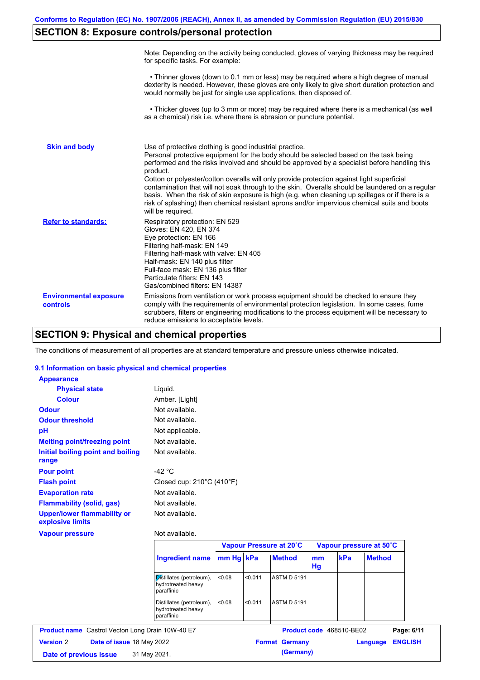# **SECTION 8: Exposure controls/personal protection**

|                                           | Note: Depending on the activity being conducted, gloves of varying thickness may be required<br>for specific tasks. For example:                                                                                                                                                                                                                                                                                                                                                                                                                                                                                                                                                      |
|-------------------------------------------|---------------------------------------------------------------------------------------------------------------------------------------------------------------------------------------------------------------------------------------------------------------------------------------------------------------------------------------------------------------------------------------------------------------------------------------------------------------------------------------------------------------------------------------------------------------------------------------------------------------------------------------------------------------------------------------|
|                                           | • Thinner gloves (down to 0.1 mm or less) may be required where a high degree of manual<br>dexterity is needed. However, these gloves are only likely to give short duration protection and<br>would normally be just for single use applications, then disposed of.                                                                                                                                                                                                                                                                                                                                                                                                                  |
|                                           | • Thicker gloves (up to 3 mm or more) may be required where there is a mechanical (as well<br>as a chemical) risk i.e. where there is abrasion or puncture potential.                                                                                                                                                                                                                                                                                                                                                                                                                                                                                                                 |
| <b>Skin and body</b>                      | Use of protective clothing is good industrial practice.<br>Personal protective equipment for the body should be selected based on the task being<br>performed and the risks involved and should be approved by a specialist before handling this<br>product.<br>Cotton or polyester/cotton overalls will only provide protection against light superficial<br>contamination that will not soak through to the skin. Overalls should be laundered on a regular<br>basis. When the risk of skin exposure is high (e.g. when cleaning up spillages or if there is a<br>risk of splashing) then chemical resistant aprons and/or impervious chemical suits and boots<br>will be required. |
| <b>Refer to standards:</b>                | Respiratory protection: EN 529<br>Gloves: EN 420, EN 374<br>Eye protection: EN 166<br>Filtering half-mask: EN 149<br>Filtering half-mask with valve: EN 405<br>Half-mask: EN 140 plus filter<br>Full-face mask: EN 136 plus filter<br>Particulate filters: EN 143<br>Gas/combined filters: EN 14387                                                                                                                                                                                                                                                                                                                                                                                   |
| <b>Environmental exposure</b><br>controls | Emissions from ventilation or work process equipment should be checked to ensure they<br>comply with the requirements of environmental protection legislation. In some cases, fume<br>scrubbers, filters or engineering modifications to the process equipment will be necessary to<br>reduce emissions to acceptable levels.                                                                                                                                                                                                                                                                                                                                                         |

# **SECTION 9: Physical and chemical properties**

The conditions of measurement of all properties are at standard temperature and pressure unless otherwise indicated.

### **9.1 Information on basic physical and chemical properties**

| <b>Appearance</b>                                      |                                                              |           |         |                         |          |
|--------------------------------------------------------|--------------------------------------------------------------|-----------|---------|-------------------------|----------|
| <b>Physical state</b>                                  | Liquid.                                                      |           |         |                         |          |
| <b>Colour</b>                                          | Amber. [Light]                                               |           |         |                         |          |
| <b>Odour</b>                                           | Not available.                                               |           |         |                         |          |
| <b>Odour threshold</b>                                 | Not available.                                               |           |         |                         |          |
| рH                                                     | Not applicable.                                              |           |         |                         |          |
| <b>Melting point/freezing point</b>                    | Not available.                                               |           |         |                         |          |
| Initial boiling point and boiling<br>range             | Not available.                                               |           |         |                         |          |
| <b>Pour point</b>                                      | -42 $\degree$ C                                              |           |         |                         |          |
| <b>Flash point</b>                                     | Closed cup: 210°C (410°F)                                    |           |         |                         |          |
| <b>Evaporation rate</b>                                | Not available.                                               |           |         |                         |          |
| <b>Flammability (solid, gas)</b>                       | Not available.                                               |           |         |                         |          |
| <b>Upper/lower flammability or</b><br>explosive limits | Not available.                                               |           |         |                         |          |
| <b>Vapour pressure</b>                                 | Not available.                                               |           |         |                         |          |
|                                                        |                                                              |           |         | Vapour Pressure at 20°C | Vap      |
|                                                        | <b>Ingredient name</b>                                       | mm Hg kPa |         | <b>Method</b>           | mm<br>Hg |
|                                                        | Distillates (petroleum),<br>hydrotreated heavy<br>paraffinic | <0.08     | < 0.011 | <b>ASTM D 5191</b>      |          |
|                                                        | Distillates (petroleum),                                     | < 0.08    | < 0.011 | <b>ASTM D 5191</b>      |          |

hydrotreated heavy paraffinic

|                        |                                  | <b>Product name</b> Castrol Vecton Long Drain 10W-40 E7 | <b>Product code</b> 468510-BE02 |                         | Page: 6/11 |
|------------------------|----------------------------------|---------------------------------------------------------|---------------------------------|-------------------------|------------|
| <b>Version</b> 2       | <b>Date of issue 18 May 2022</b> |                                                         | <b>Format Germany</b>           | <b>Language ENGLISH</b> |            |
| Date of previous issue |                                  | 31 May 2021.                                            | (Germany)                       |                         |            |

**Vapour Pressure at 20˚C Vapour pressure at 50˚C**

**Method** 

**mm kPa**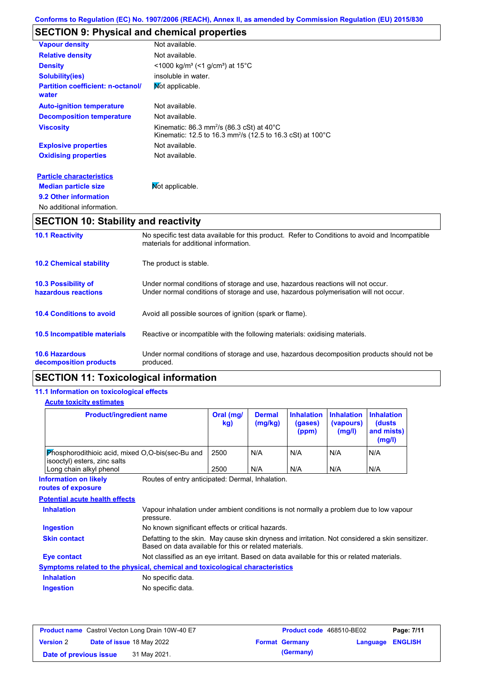# **SECTION 9: Physical and chemical properties**

| <b>10.1 Reactivity</b>                            | No specific test data available for this product. Refer to Conditions to avoid and Incompatible                                                 |
|---------------------------------------------------|-------------------------------------------------------------------------------------------------------------------------------------------------|
| <b>SECTION 10: Stability and reactivity</b>       |                                                                                                                                                 |
| No additional information.                        |                                                                                                                                                 |
| 9.2 Other information                             |                                                                                                                                                 |
| <b>Median particle size</b>                       | Not applicable.                                                                                                                                 |
| <b>Particle characteristics</b>                   |                                                                                                                                                 |
| <b>Oxidising properties</b>                       | Not available.                                                                                                                                  |
| <b>Explosive properties</b>                       | Not available.                                                                                                                                  |
| <b>Viscosity</b>                                  | Kinematic: $86.3$ mm <sup>2</sup> /s ( $86.3$ cSt) at $40^{\circ}$ C<br>Kinematic: 12.5 to 16.3 mm <sup>2</sup> /s (12.5 to 16.3 cSt) at 100 °C |
| <b>Decomposition temperature</b>                  | Not available.                                                                                                                                  |
| <b>Auto-ignition temperature</b>                  | Not available.                                                                                                                                  |
| <b>Partition coefficient: n-octanol/</b><br>water | Mot applicable.                                                                                                                                 |
| <b>Solubility(ies)</b>                            | insoluble in water.                                                                                                                             |
| <b>Density</b>                                    | $\leq$ 1000 kg/m <sup>3</sup> (<1 g/cm <sup>3</sup> ) at 15 <sup>°</sup> C                                                                      |
| <b>Relative density</b>                           | Not available.                                                                                                                                  |
| <b>Vapour density</b>                             | Not available.                                                                                                                                  |

|                                                   | materials for additional information.                                                                                                                                   |
|---------------------------------------------------|-------------------------------------------------------------------------------------------------------------------------------------------------------------------------|
| <b>10.2 Chemical stability</b>                    | The product is stable.                                                                                                                                                  |
| <b>10.3 Possibility of</b><br>hazardous reactions | Under normal conditions of storage and use, hazardous reactions will not occur.<br>Under normal conditions of storage and use, hazardous polymerisation will not occur. |
| <b>10.4 Conditions to avoid</b>                   | Avoid all possible sources of ignition (spark or flame).                                                                                                                |
| <b>10.5 Incompatible materials</b>                | Reactive or incompatible with the following materials: oxidising materials.                                                                                             |
| <b>10.6 Hazardous</b><br>decomposition products   | Under normal conditions of storage and use, hazardous decomposition products should not be<br>produced.                                                                 |

# **SECTION 11: Toxicological information**

### **11.1 Information on toxicological effects**

### **Acute toxicity estimates**

| <b>Product/ingredient name</b>                                                   |                                                                                                                                                           | Oral (mg/<br>kg) | <b>Dermal</b><br>(mg/kg) | <b>Inhalation</b><br>(gases)<br>(ppm) | <b>Inhalation</b><br>(vapours)<br>(mg/l) | <b>Inhalation</b><br>(dusts<br>and mists)<br>(mg/l) |
|----------------------------------------------------------------------------------|-----------------------------------------------------------------------------------------------------------------------------------------------------------|------------------|--------------------------|---------------------------------------|------------------------------------------|-----------------------------------------------------|
| Phosphorodithioic acid, mixed O,O-bis(sec-Bu and<br>isooctyl) esters, zinc salts |                                                                                                                                                           | 2500             | N/A                      | N/A                                   | N/A                                      | N/A                                                 |
| Long chain alkyl phenol                                                          |                                                                                                                                                           | 2500             | N/A                      | N/A                                   | N/A                                      | N/A                                                 |
| <b>Information on likely</b><br>routes of exposure                               | Routes of entry anticipated: Dermal, Inhalation.                                                                                                          |                  |                          |                                       |                                          |                                                     |
| <b>Potential acute health effects</b>                                            |                                                                                                                                                           |                  |                          |                                       |                                          |                                                     |
| <b>Inhalation</b>                                                                | Vapour inhalation under ambient conditions is not normally a problem due to low vapour<br>pressure.                                                       |                  |                          |                                       |                                          |                                                     |
|                                                                                  |                                                                                                                                                           |                  |                          |                                       |                                          |                                                     |
| Ingestion                                                                        | No known significant effects or critical hazards.                                                                                                         |                  |                          |                                       |                                          |                                                     |
| <b>Skin contact</b>                                                              | Defatting to the skin. May cause skin dryness and irritation. Not considered a skin sensitizer.<br>Based on data available for this or related materials. |                  |                          |                                       |                                          |                                                     |
| <b>Eye contact</b>                                                               | Not classified as an eye irritant. Based on data available for this or related materials.                                                                 |                  |                          |                                       |                                          |                                                     |
| Symptoms related to the physical, chemical and toxicological characteristics     |                                                                                                                                                           |                  |                          |                                       |                                          |                                                     |
| <b>Inhalation</b>                                                                | No specific data.                                                                                                                                         |                  |                          |                                       |                                          |                                                     |

|                        | <b>Product name</b> Castrol Vecton Long Drain 10W-40 E7 | <b>Product code</b> 468510-BE02 |                         | Page: 7/11 |
|------------------------|---------------------------------------------------------|---------------------------------|-------------------------|------------|
| <b>Version 2</b>       | <b>Date of issue 18 May 2022</b>                        | <b>Format Germany</b>           | <b>Language ENGLISH</b> |            |
| Date of previous issue | 31 May 2021.                                            | (Germany)                       |                         |            |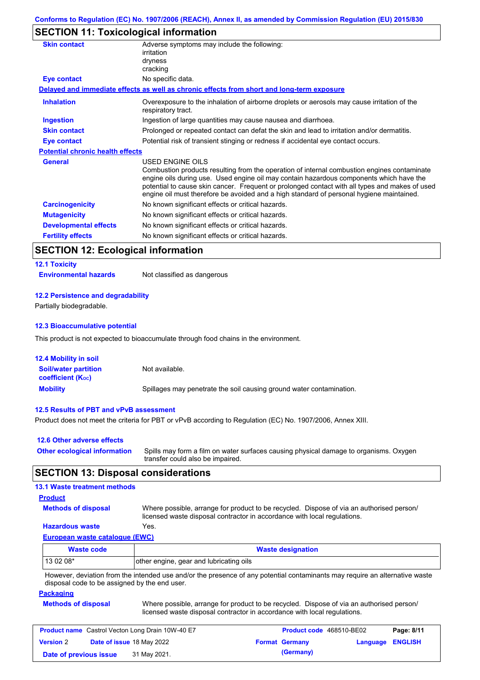# **SECTION 11: Toxicological information**

| <b>Skin contact</b>                     | Adverse symptoms may include the following:<br>irritation                                                                                                                                                                                                                                                                                                                                                       |
|-----------------------------------------|-----------------------------------------------------------------------------------------------------------------------------------------------------------------------------------------------------------------------------------------------------------------------------------------------------------------------------------------------------------------------------------------------------------------|
|                                         | dryness                                                                                                                                                                                                                                                                                                                                                                                                         |
|                                         | cracking                                                                                                                                                                                                                                                                                                                                                                                                        |
| Eye contact                             | No specific data.                                                                                                                                                                                                                                                                                                                                                                                               |
|                                         | Delayed and immediate effects as well as chronic effects from short and long-term exposure                                                                                                                                                                                                                                                                                                                      |
| <b>Inhalation</b>                       | Overexposure to the inhalation of airborne droplets or aerosols may cause irritation of the<br>respiratory tract.                                                                                                                                                                                                                                                                                               |
| Ingestion                               | Ingestion of large quantities may cause nausea and diarrhoea.                                                                                                                                                                                                                                                                                                                                                   |
| <b>Skin contact</b>                     | Prolonged or repeated contact can defat the skin and lead to irritation and/or dermatitis.                                                                                                                                                                                                                                                                                                                      |
| Eye contact                             | Potential risk of transient stinging or redness if accidental eye contact occurs.                                                                                                                                                                                                                                                                                                                               |
| <b>Potential chronic health effects</b> |                                                                                                                                                                                                                                                                                                                                                                                                                 |
| <b>General</b>                          | <b>USED ENGINE OILS</b><br>Combustion products resulting from the operation of internal combustion engines contaminate<br>engine oils during use. Used engine oil may contain hazardous components which have the<br>potential to cause skin cancer. Frequent or prolonged contact with all types and makes of used<br>engine oil must therefore be avoided and a high standard of personal hygiene maintained. |
| <b>Carcinogenicity</b>                  | No known significant effects or critical hazards.                                                                                                                                                                                                                                                                                                                                                               |
| <b>Mutagenicity</b>                     | No known significant effects or critical hazards.                                                                                                                                                                                                                                                                                                                                                               |
| <b>Developmental effects</b>            | No known significant effects or critical hazards.                                                                                                                                                                                                                                                                                                                                                               |
| <b>Fertility effects</b>                | No known significant effects or critical hazards.                                                                                                                                                                                                                                                                                                                                                               |

# **SECTION 12: Ecological information**

# **12.1 Toxicity**

**Environmental hazards** Not classified as dangerous

### **12.2 Persistence and degradability**

Partially biodegradable.

#### **12.3 Bioaccumulative potential**

This product is not expected to bioaccumulate through food chains in the environment.

| <b>12.4 Mobility in soil</b>                                  |                                                                      |
|---------------------------------------------------------------|----------------------------------------------------------------------|
| <b>Soil/water partition</b><br>coefficient (K <sub>oc</sub> ) | Not available.                                                       |
| <b>Mobility</b>                                               | Spillages may penetrate the soil causing ground water contamination. |

#### **12.5 Results of PBT and vPvB assessment**

Product does not meet the criteria for PBT or vPvB according to Regulation (EC) No. 1907/2006, Annex XIII.

| 12.6 Other adverse effects          |                                                                                                                           |
|-------------------------------------|---------------------------------------------------------------------------------------------------------------------------|
| <b>Other ecological information</b> | Spills may form a film on water surfaces causing physical damage to organisms. Oxygen<br>transfer could also be impaired. |

### **SECTION 13: Disposal considerations**

### **13.1 Waste treatment methods**

### **Product**

**Methods of disposal**

Where possible, arrange for product to be recycled. Dispose of via an authorised person/ licensed waste disposal contractor in accordance with local regulations.

### **Hazardous waste** Yes.

**European waste catalogue (EWC)**

| Waste code | <b>Waste designation</b>                |  |  |  |  |
|------------|-----------------------------------------|--|--|--|--|
| $130208*$  | other engine, gear and lubricating oils |  |  |  |  |
| .<br>.     |                                         |  |  |  |  |

However, deviation from the intended use and/or the presence of any potential contaminants may require an alternative waste disposal code to be assigned by the end user.

#### **Packaging**

| <b>Methods of disposal</b> | Where possible, arrange for product to be recycled. Dispose of via an authorised person/ |  |
|----------------------------|------------------------------------------------------------------------------------------|--|
|                            | licensed waste disposal contractor in accordance with local regulations.                 |  |

|                        | <b>Product name</b> Castrol Vecton Long Drain 10W-40 E7 | <b>Product code</b> 468510-BE02 |                         | Page: 8/11 |
|------------------------|---------------------------------------------------------|---------------------------------|-------------------------|------------|
| <b>Version 2</b>       | Date of issue 18 May 2022                               | <b>Format Germany</b>           | <b>Language ENGLISH</b> |            |
| Date of previous issue | 31 May 2021.                                            | (Germany)                       |                         |            |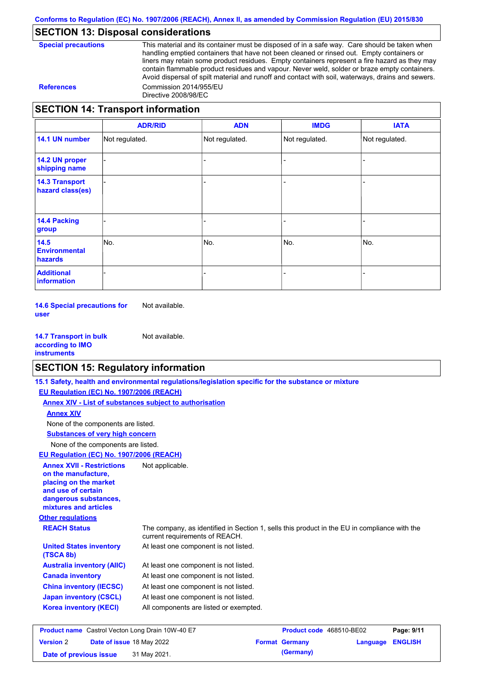### **SECTION 13: Disposal considerations**

This material and its container must be disposed of in a safe way. Care should be taken when handling emptied containers that have not been cleaned or rinsed out. Empty containers or liners may retain some product residues. Empty containers represent a fire hazard as they may contain flammable product residues and vapour. Never weld, solder or braze empty containers. Avoid dispersal of spilt material and runoff and contact with soil, waterways, drains and sewers. **References** Commission 2014/955/EU Directive 2008/98/EC

### **SECTION 14: Transport information**

|                                                | <b>ADR/RID</b> | <b>ADN</b>     | <b>IMDG</b>    | <b>IATA</b>    |
|------------------------------------------------|----------------|----------------|----------------|----------------|
| 14.1 UN number                                 | Not regulated. | Not regulated. | Not regulated. | Not regulated. |
| 14.2 UN proper<br>shipping name                |                |                |                |                |
| <b>14.3 Transport</b><br>hazard class(es)      |                |                |                |                |
| <b>14.4 Packing</b><br>group                   |                |                |                |                |
| 14.5<br><b>Environmental</b><br><b>hazards</b> | No.            | No.            | No.            | No.            |
| <b>Additional</b><br>information               |                |                |                |                |

**14.6 Special precautions for user** Not available.

**14.7 Transport in bulk according to IMO instruments** Not available.

### **SECTION 15: Regulatory information**

|                                                                                                                                                          | 15.1 Safety, health and environmental regulations/legislation specific for the substance or mixture                            |                          |          |                |
|----------------------------------------------------------------------------------------------------------------------------------------------------------|--------------------------------------------------------------------------------------------------------------------------------|--------------------------|----------|----------------|
| EU Regulation (EC) No. 1907/2006 (REACH)                                                                                                                 |                                                                                                                                |                          |          |                |
|                                                                                                                                                          | Annex XIV - List of substances subject to authorisation                                                                        |                          |          |                |
| <b>Annex XIV</b>                                                                                                                                         |                                                                                                                                |                          |          |                |
| None of the components are listed.                                                                                                                       |                                                                                                                                |                          |          |                |
| <b>Substances of very high concern</b>                                                                                                                   |                                                                                                                                |                          |          |                |
| None of the components are listed.                                                                                                                       |                                                                                                                                |                          |          |                |
| EU Regulation (EC) No. 1907/2006 (REACH)                                                                                                                 |                                                                                                                                |                          |          |                |
| <b>Annex XVII - Restrictions</b><br>on the manufacture.<br>placing on the market<br>and use of certain<br>dangerous substances,<br>mixtures and articles | Not applicable.                                                                                                                |                          |          |                |
| <b>Other regulations</b>                                                                                                                                 |                                                                                                                                |                          |          |                |
| <b>REACH Status</b>                                                                                                                                      | The company, as identified in Section 1, sells this product in the EU in compliance with the<br>current requirements of REACH. |                          |          |                |
| <b>United States inventory</b><br>(TSCA 8b)                                                                                                              | At least one component is not listed.                                                                                          |                          |          |                |
| <b>Australia inventory (AIIC)</b>                                                                                                                        | At least one component is not listed.                                                                                          |                          |          |                |
| <b>Canada inventory</b>                                                                                                                                  | At least one component is not listed.                                                                                          |                          |          |                |
| <b>China inventory (IECSC)</b>                                                                                                                           | At least one component is not listed.                                                                                          |                          |          |                |
| <b>Japan inventory (CSCL)</b>                                                                                                                            | At least one component is not listed.                                                                                          |                          |          |                |
| <b>Korea inventory (KECI)</b>                                                                                                                            | All components are listed or exempted.                                                                                         |                          |          |                |
| <b>Product name</b> Castrol Vecton Long Drain 10W-40 E7                                                                                                  |                                                                                                                                | Product code 468510-BE02 |          | Page: 9/11     |
| <b>Version 2</b><br>Date of issue 18 May 2022                                                                                                            |                                                                                                                                | <b>Format Germany</b>    | Language | <b>ENGLISH</b> |

**Date of previous issue** 31 May 2021.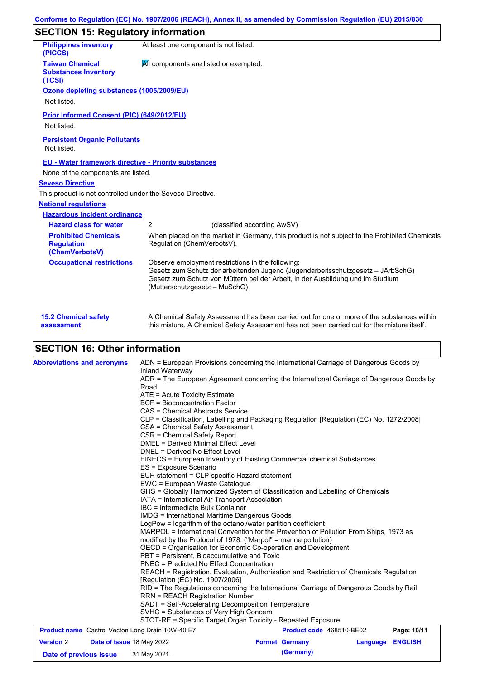# **SECTION 15: Regulatory information**

| <b>Philippines inventory</b><br>(PICCS)                            |                                                                                                                             | At least one component is not listed.                                                                                                                                                                                  |  |  |  |  |
|--------------------------------------------------------------------|-----------------------------------------------------------------------------------------------------------------------------|------------------------------------------------------------------------------------------------------------------------------------------------------------------------------------------------------------------------|--|--|--|--|
| <b>Taiwan Chemical</b><br><b>Substances Inventory</b><br>(TCSI)    | All components are listed or exempted.                                                                                      |                                                                                                                                                                                                                        |  |  |  |  |
| Ozone depleting substances (1005/2009/EU)<br>Not listed.           |                                                                                                                             |                                                                                                                                                                                                                        |  |  |  |  |
| Prior Informed Consent (PIC) (649/2012/EU)<br>Not listed.          |                                                                                                                             |                                                                                                                                                                                                                        |  |  |  |  |
| <b>Persistent Organic Pollutants</b><br>Not listed.                |                                                                                                                             |                                                                                                                                                                                                                        |  |  |  |  |
| <b>EU - Water framework directive - Priority substances</b>        |                                                                                                                             |                                                                                                                                                                                                                        |  |  |  |  |
| None of the components are listed.                                 |                                                                                                                             |                                                                                                                                                                                                                        |  |  |  |  |
| <b>Seveso Directive</b>                                            |                                                                                                                             |                                                                                                                                                                                                                        |  |  |  |  |
| This product is not controlled under the Seveso Directive.         |                                                                                                                             |                                                                                                                                                                                                                        |  |  |  |  |
| <b>National regulations</b>                                        |                                                                                                                             |                                                                                                                                                                                                                        |  |  |  |  |
| <b>Hazardous incident ordinance</b>                                |                                                                                                                             |                                                                                                                                                                                                                        |  |  |  |  |
| <b>Hazard class for water</b>                                      | 2                                                                                                                           | (classified according AwSV)                                                                                                                                                                                            |  |  |  |  |
| <b>Prohibited Chemicals</b><br><b>Regulation</b><br>(ChemVerbotsV) | When placed on the market in Germany, this product is not subject to the Prohibited Chemicals<br>Regulation (ChemVerbotsV). |                                                                                                                                                                                                                        |  |  |  |  |
| <b>Occupational restrictions</b>                                   | (Mutterschutzgesetz – MuSchG)                                                                                               | Observe employment restrictions in the following:<br>Gesetz zum Schutz der arbeitenden Jugend (Jugendarbeitsschutzgesetz - JArbSchG)<br>Gesetz zum Schutz von Müttern bei der Arbeit, in der Ausbildung und im Studium |  |  |  |  |
| <b>15.2 Chemical safety</b>                                        |                                                                                                                             | A Chemical Safety Assessment has been carried out for one or more of the substances within                                                                                                                             |  |  |  |  |

this mixture. A Chemical Safety Assessment has not been carried out for the mixture itself.

|  |  | <b>SECTION 16: Other information</b> |
|--|--|--------------------------------------|

**assessment**

| <b>Abbreviations and acronyms</b>                       | Inland Waterway                                                                                                                                                                                                | ADN = European Provisions concerning the International Carriage of Dangerous Goods by    |          |                |  |  |
|---------------------------------------------------------|----------------------------------------------------------------------------------------------------------------------------------------------------------------------------------------------------------------|------------------------------------------------------------------------------------------|----------|----------------|--|--|
|                                                         |                                                                                                                                                                                                                | ADR = The European Agreement concerning the International Carriage of Dangerous Goods by |          |                |  |  |
|                                                         | Road                                                                                                                                                                                                           |                                                                                          |          |                |  |  |
|                                                         | ATE = Acute Toxicity Estimate                                                                                                                                                                                  |                                                                                          |          |                |  |  |
|                                                         | <b>BCF</b> = Bioconcentration Factor                                                                                                                                                                           |                                                                                          |          |                |  |  |
|                                                         | CAS = Chemical Abstracts Service                                                                                                                                                                               |                                                                                          |          |                |  |  |
|                                                         |                                                                                                                                                                                                                | CLP = Classification, Labelling and Packaging Regulation [Regulation (EC) No. 1272/2008] |          |                |  |  |
|                                                         | CSA = Chemical Safety Assessment                                                                                                                                                                               |                                                                                          |          |                |  |  |
|                                                         | CSR = Chemical Safety Report                                                                                                                                                                                   |                                                                                          |          |                |  |  |
|                                                         | <b>DMEL = Derived Minimal Effect Level</b>                                                                                                                                                                     |                                                                                          |          |                |  |  |
|                                                         | DNEL = Derived No Effect Level                                                                                                                                                                                 |                                                                                          |          |                |  |  |
|                                                         |                                                                                                                                                                                                                | EINECS = European Inventory of Existing Commercial chemical Substances                   |          |                |  |  |
|                                                         | ES = Exposure Scenario                                                                                                                                                                                         |                                                                                          |          |                |  |  |
|                                                         | EUH statement = CLP-specific Hazard statement                                                                                                                                                                  |                                                                                          |          |                |  |  |
|                                                         | EWC = European Waste Catalogue                                                                                                                                                                                 |                                                                                          |          |                |  |  |
|                                                         | GHS = Globally Harmonized System of Classification and Labelling of Chemicals                                                                                                                                  |                                                                                          |          |                |  |  |
|                                                         | IATA = International Air Transport Association                                                                                                                                                                 |                                                                                          |          |                |  |  |
|                                                         | IBC = Intermediate Bulk Container                                                                                                                                                                              |                                                                                          |          |                |  |  |
|                                                         | <b>IMDG = International Maritime Dangerous Goods</b><br>LogPow = logarithm of the octanol/water partition coefficient<br>MARPOL = International Convention for the Prevention of Pollution From Ships, 1973 as |                                                                                          |          |                |  |  |
|                                                         |                                                                                                                                                                                                                |                                                                                          |          |                |  |  |
|                                                         |                                                                                                                                                                                                                |                                                                                          |          |                |  |  |
|                                                         | modified by the Protocol of 1978. ("Marpol" = marine pollution)                                                                                                                                                |                                                                                          |          |                |  |  |
|                                                         |                                                                                                                                                                                                                | OECD = Organisation for Economic Co-operation and Development                            |          |                |  |  |
|                                                         | PBT = Persistent, Bioaccumulative and Toxic                                                                                                                                                                    |                                                                                          |          |                |  |  |
|                                                         | <b>PNEC = Predicted No Effect Concentration</b>                                                                                                                                                                |                                                                                          |          |                |  |  |
|                                                         | REACH = Registration, Evaluation, Authorisation and Restriction of Chemicals Regulation                                                                                                                        |                                                                                          |          |                |  |  |
|                                                         | [Regulation (EC) No. 1907/2006]                                                                                                                                                                                |                                                                                          |          |                |  |  |
|                                                         | RID = The Regulations concerning the International Carriage of Dangerous Goods by Rail                                                                                                                         |                                                                                          |          |                |  |  |
|                                                         | <b>RRN = REACH Registration Number</b>                                                                                                                                                                         |                                                                                          |          |                |  |  |
|                                                         | SADT = Self-Accelerating Decomposition Temperature                                                                                                                                                             |                                                                                          |          |                |  |  |
|                                                         | SVHC = Substances of Very High Concern                                                                                                                                                                         |                                                                                          |          |                |  |  |
|                                                         |                                                                                                                                                                                                                | STOT-RE = Specific Target Organ Toxicity - Repeated Exposure                             |          |                |  |  |
| <b>Product name</b> Castrol Vecton Long Drain 10W-40 E7 |                                                                                                                                                                                                                | Product code 468510-BE02                                                                 |          | Page: 10/11    |  |  |
| <b>Version 2</b><br>Date of issue 18 May 2022           |                                                                                                                                                                                                                | <b>Format Germany</b>                                                                    | Language | <b>ENGLISH</b> |  |  |
| Date of previous issue                                  | 31 May 2021.                                                                                                                                                                                                   | (Germany)                                                                                |          |                |  |  |